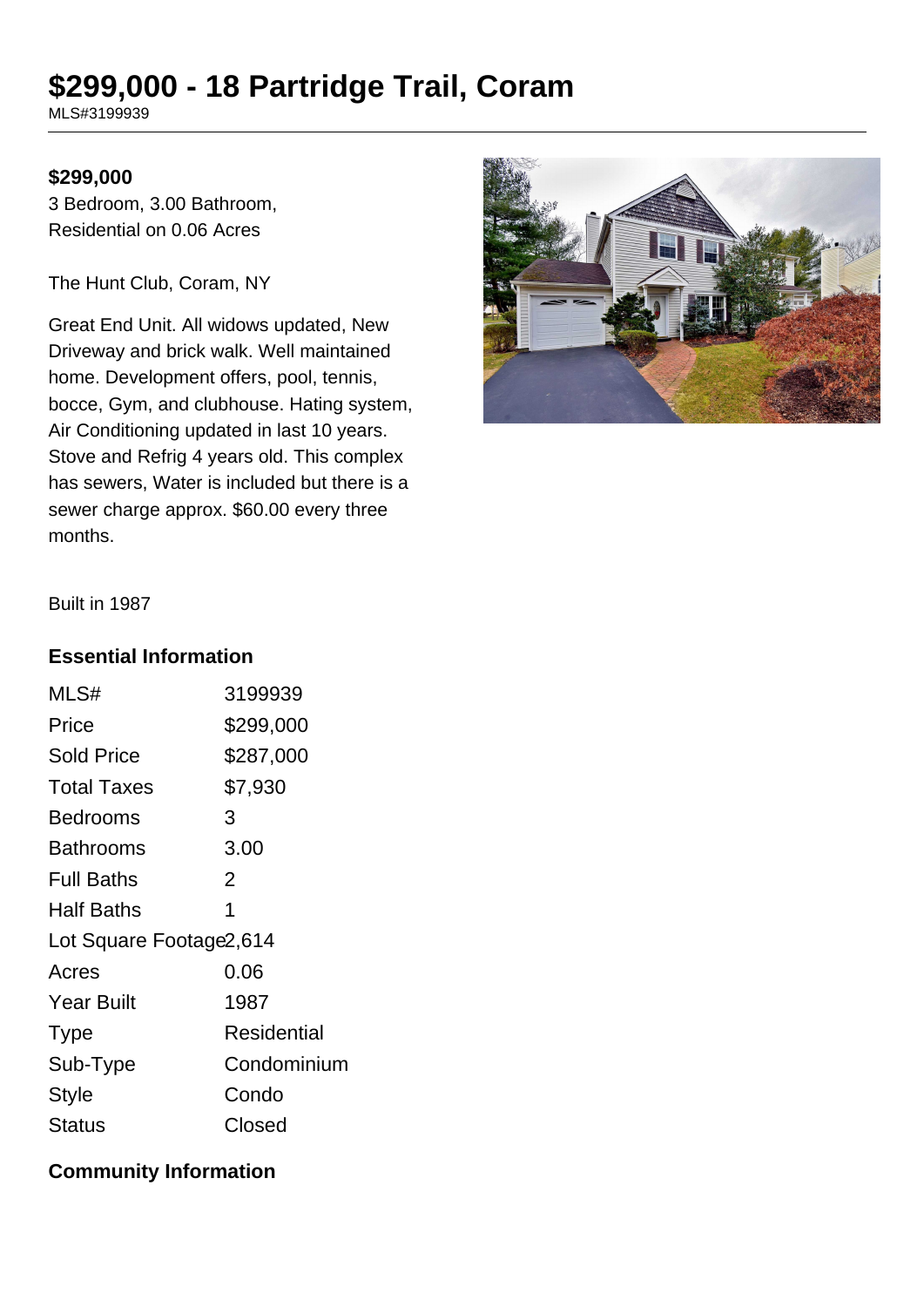# **\$299,000 - 18 Partridge Trail, Coram**

MLS#3199939

#### **\$299,000**

3 Bedroom, 3.00 Bathroom, Residential on 0.06 Acres

The Hunt Club, Coram, NY

Great End Unit. All widows updated, New Driveway and brick walk. Well maintained home. Development offers, pool, tennis, bocce, Gym, and clubhouse. Hating system, Air Conditioning updated in last 10 years. Stove and Refrig 4 years old. This complex has sewers, Water is included but there is a sewer charge approx. \$60.00 every three months.



Built in 1987

#### **Essential Information**

| MLS#                     | 3199939     |
|--------------------------|-------------|
| Price                    | \$299,000   |
| <b>Sold Price</b>        | \$287,000   |
| <b>Total Taxes</b>       | \$7,930     |
| Bedrooms                 | 3           |
| <b>Bathrooms</b>         | 3.00        |
| <b>Full Baths</b>        | 2           |
| <b>Half Baths</b>        | 1           |
| Lot Square Footage 2,614 |             |
| Acres                    | 0.06        |
| <b>Year Built</b>        | 1987        |
| <b>Type</b>              | Residential |
| Sub-Type                 | Condominium |
| <b>Style</b>             | Condo       |
| <b>Status</b>            | Closed      |

#### **Community Information**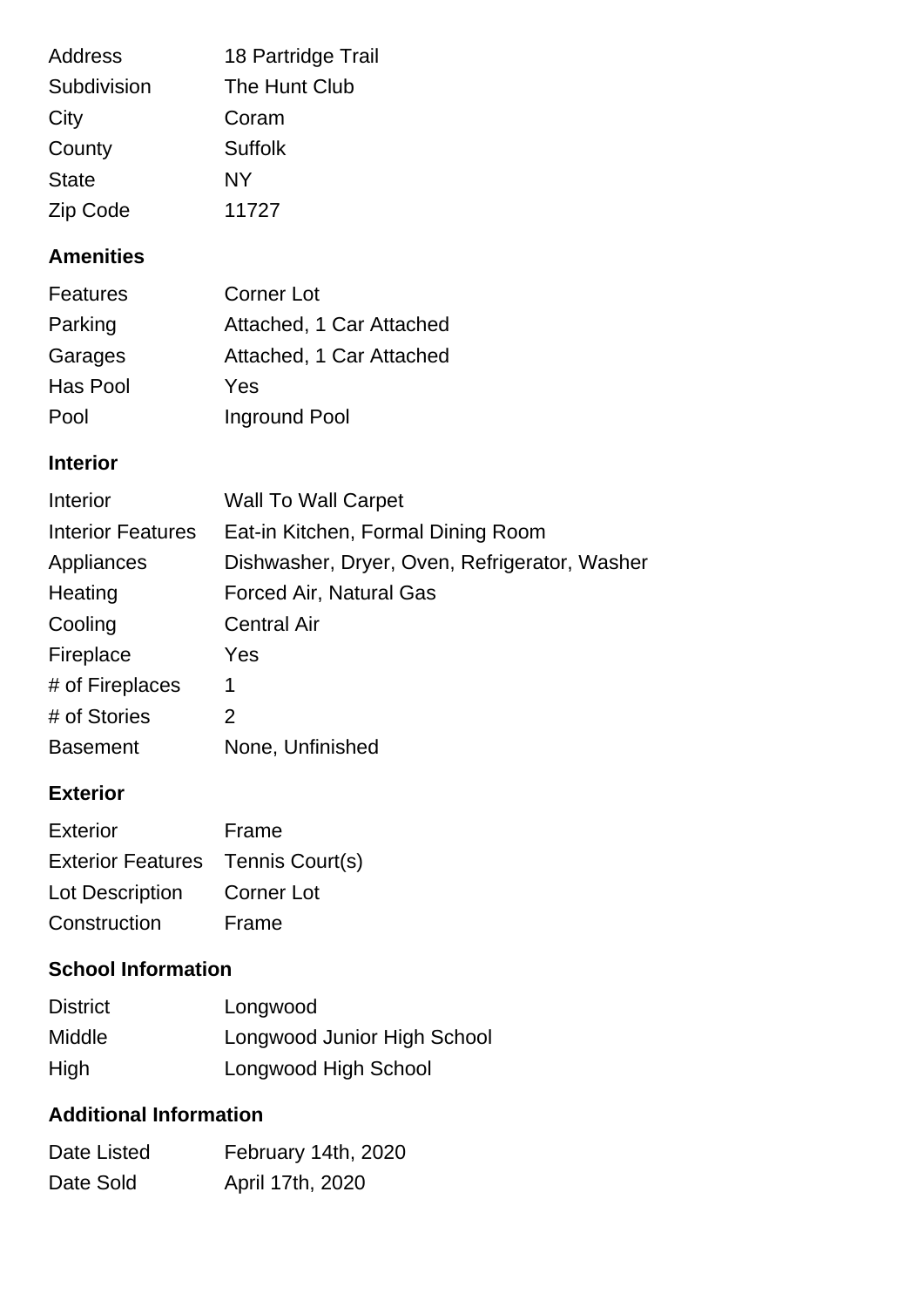| <b>Address</b> | 18 Partridge Trail |
|----------------|--------------------|
| Subdivision    | The Hunt Club      |
| City           | Coram              |
| County         | <b>Suffolk</b>     |
| <b>State</b>   | <b>NY</b>          |
| Zip Code       | 11727              |

#### **Amenities**

| <b>Features</b> | <b>Corner Lot</b>        |
|-----------------|--------------------------|
| Parking         | Attached, 1 Car Attached |
| Garages         | Attached, 1 Car Attached |
| Has Pool        | Yes                      |
| Pool            | Inground Pool            |

#### **Interior**

| Interior                 | <b>Wall To Wall Carpet</b>                    |
|--------------------------|-----------------------------------------------|
| <b>Interior Features</b> | Eat-in Kitchen, Formal Dining Room            |
| Appliances               | Dishwasher, Dryer, Oven, Refrigerator, Washer |
| Heating                  | <b>Forced Air, Natural Gas</b>                |
| Cooling                  | <b>Central Air</b>                            |
| Fireplace                | Yes                                           |
| # of Fireplaces          | 1                                             |
| # of Stories             | 2                                             |
| <b>Basement</b>          | None, Unfinished                              |

### **Exterior**

| Exterior                          | Frame      |
|-----------------------------------|------------|
| Exterior Features Tennis Court(s) |            |
| Lot Description                   | Corner Lot |
| Construction                      | Frame      |

## **School Information**

| <b>District</b> | Longwood                    |
|-----------------|-----------------------------|
| <b>Middle</b>   | Longwood Junior High School |
| High            | Longwood High School        |

## **Additional Information**

| Date Listed | February 14th, 2020 |
|-------------|---------------------|
| Date Sold   | April 17th, 2020    |